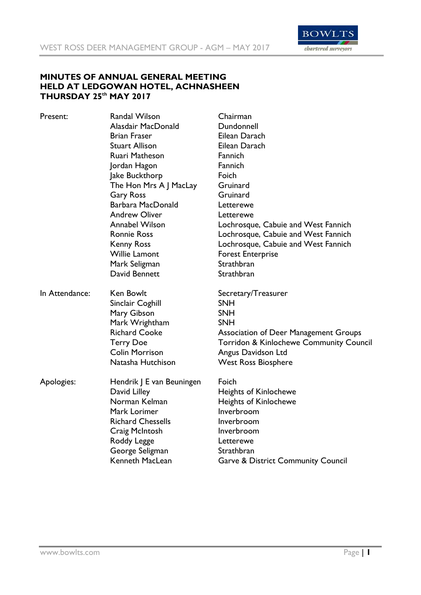

## **MINUTES OF ANNUAL GENERAL MEETING HELD AT LEDGOWAN HOTEL, ACHNASHEEN THURSDAY 25th MAY 2017**

| Present:       | <b>Randal Wilson</b>      | Chairman                                      |
|----------------|---------------------------|-----------------------------------------------|
|                | Alasdair MacDonald        | Dundonnell                                    |
|                | <b>Brian Fraser</b>       | Eilean Darach                                 |
|                | <b>Stuart Allison</b>     | Eilean Darach                                 |
|                | Ruari Matheson            | Fannich                                       |
|                | Jordan Hagon              | Fannich                                       |
|                | Jake Buckthorp            | Foich                                         |
|                | The Hon Mrs A J MacLay    | Gruinard                                      |
|                | <b>Gary Ross</b>          | Gruinard                                      |
|                | Barbara MacDonald         | Letterewe                                     |
|                | <b>Andrew Oliver</b>      | Letterewe                                     |
|                | <b>Annabel Wilson</b>     | Lochrosque, Cabuie and West Fannich           |
|                | <b>Ronnie Ross</b>        | Lochrosque, Cabuie and West Fannich           |
|                | <b>Kenny Ross</b>         | Lochrosque, Cabuie and West Fannich           |
|                | <b>Willie Lamont</b>      | <b>Forest Enterprise</b>                      |
|                | Mark Seligman             | Strathbran                                    |
|                | David Bennett             | Strathbran                                    |
| In Attendance: | Ken Bowlt                 | Secretary/Treasurer                           |
|                | Sinclair Coghill          | <b>SNH</b>                                    |
|                | Mary Gibson               | <b>SNH</b>                                    |
|                | Mark Wrightham            | <b>SNH</b>                                    |
|                | <b>Richard Cooke</b>      | <b>Association of Deer Management Groups</b>  |
|                | <b>Terry Doe</b>          | Torridon & Kinlochewe Community Council       |
|                | <b>Colin Morrison</b>     | Angus Davidson Ltd                            |
|                | Natasha Hutchison         | <b>West Ross Biosphere</b>                    |
| Apologies:     | Hendrik J E van Beuningen | Foich                                         |
|                | David Lilley              | <b>Heights of Kinlochewe</b>                  |
|                | Norman Kelman             | <b>Heights of Kinlochewe</b>                  |
|                | Mark Lorimer              | Inverbroom                                    |
|                | <b>Richard Chessells</b>  | Inverbroom                                    |
|                | Craig McIntosh            | Inverbroom                                    |
|                | Roddy Legge               | Letterewe                                     |
|                | George Seligman           | Strathbran                                    |
|                | Kenneth MacLean           | <b>Garve &amp; District Community Council</b> |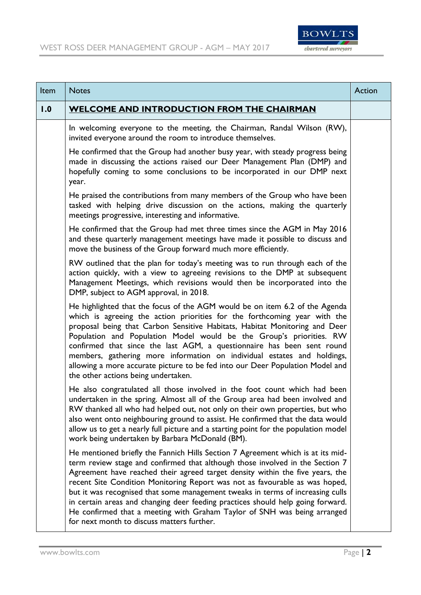

| Item | <b>Notes</b>                                                                                                                                                                                                                                                                                                                                                                                                                                                                                                                                                                                                                    | Action |
|------|---------------------------------------------------------------------------------------------------------------------------------------------------------------------------------------------------------------------------------------------------------------------------------------------------------------------------------------------------------------------------------------------------------------------------------------------------------------------------------------------------------------------------------------------------------------------------------------------------------------------------------|--------|
| 1.0  | <b>WELCOME AND INTRODUCTION FROM THE CHAIRMAN</b>                                                                                                                                                                                                                                                                                                                                                                                                                                                                                                                                                                               |        |
|      | In welcoming everyone to the meeting, the Chairman, Randal Wilson (RW),<br>invited everyone around the room to introduce themselves.                                                                                                                                                                                                                                                                                                                                                                                                                                                                                            |        |
|      | He confirmed that the Group had another busy year, with steady progress being<br>made in discussing the actions raised our Deer Management Plan (DMP) and<br>hopefully coming to some conclusions to be incorporated in our DMP next<br>year.                                                                                                                                                                                                                                                                                                                                                                                   |        |
|      | He praised the contributions from many members of the Group who have been<br>tasked with helping drive discussion on the actions, making the quarterly<br>meetings progressive, interesting and informative.                                                                                                                                                                                                                                                                                                                                                                                                                    |        |
|      | He confirmed that the Group had met three times since the AGM in May 2016<br>and these quarterly management meetings have made it possible to discuss and<br>move the business of the Group forward much more efficiently.                                                                                                                                                                                                                                                                                                                                                                                                      |        |
|      | RW outlined that the plan for today's meeting was to run through each of the<br>action quickly, with a view to agreeing revisions to the DMP at subsequent<br>Management Meetings, which revisions would then be incorporated into the<br>DMP, subject to AGM approval, in 2018.                                                                                                                                                                                                                                                                                                                                                |        |
|      | He highlighted that the focus of the AGM would be on item 6.2 of the Agenda<br>which is agreeing the action priorities for the forthcoming year with the<br>proposal being that Carbon Sensitive Habitats, Habitat Monitoring and Deer<br>Population and Population Model would be the Group's priorities. RW<br>confirmed that since the last AGM, a questionnaire has been sent round<br>members, gathering more information on individual estates and holdings,<br>allowing a more accurate picture to be fed into our Deer Population Model and<br>the other actions being undertaken.                                      |        |
|      | He also congratulated all those involved in the foot count which had been<br>undertaken in the spring. Almost all of the Group area had been involved and<br>RW thanked all who had helped out, not only on their own properties, but who<br>also went onto neighbouring ground to assist. He confirmed that the data would<br>allow us to get a nearly full picture and a starting point for the population model<br>work being undertaken by Barbara McDonald (BM).                                                                                                                                                           |        |
|      | He mentioned briefly the Fannich Hills Section 7 Agreement which is at its mid-<br>term review stage and confirmed that although those involved in the Section 7<br>Agreement have reached their agreed target density within the five years, the<br>recent Site Condition Monitoring Report was not as favourable as was hoped,<br>but it was recognised that some management tweaks in terms of increasing culls<br>in certain areas and changing deer feeding practices should help going forward.<br>He confirmed that a meeting with Graham Taylor of SNH was being arranged<br>for next month to discuss matters further. |        |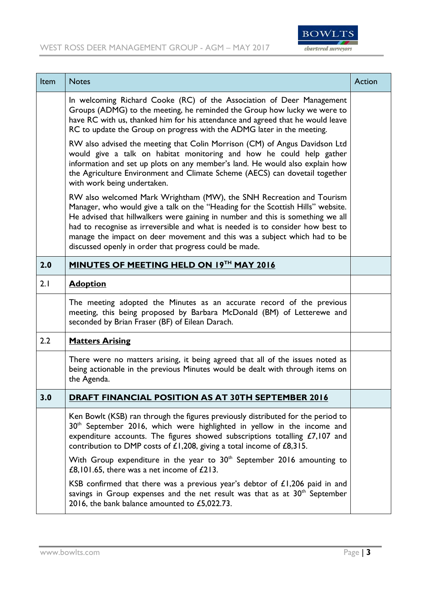

| Item | <b>Notes</b>                                                                                                                                                                                                                                                                                                                                                                                                                                                        | Action |
|------|---------------------------------------------------------------------------------------------------------------------------------------------------------------------------------------------------------------------------------------------------------------------------------------------------------------------------------------------------------------------------------------------------------------------------------------------------------------------|--------|
|      | In welcoming Richard Cooke (RC) of the Association of Deer Management<br>Groups (ADMG) to the meeting, he reminded the Group how lucky we were to<br>have RC with us, thanked him for his attendance and agreed that he would leave<br>RC to update the Group on progress with the ADMG later in the meeting.                                                                                                                                                       |        |
|      | RW also advised the meeting that Colin Morrison (CM) of Angus Davidson Ltd<br>would give a talk on habitat monitoring and how he could help gather<br>information and set up plots on any member's land. He would also explain how<br>the Agriculture Environment and Climate Scheme (AECS) can dovetail together<br>with work being undertaken.                                                                                                                    |        |
|      | RW also welcomed Mark Wrightham (MW), the SNH Recreation and Tourism<br>Manager, who would give a talk on the "Heading for the Scottish Hills" website.<br>He advised that hillwalkers were gaining in number and this is something we all<br>had to recognise as irreversible and what is needed is to consider how best to<br>manage the impact on deer movement and this was a subject which had to be<br>discussed openly in order that progress could be made. |        |
| 2.0  | MINUTES OF MEETING HELD ON 19TH MAY 2016                                                                                                                                                                                                                                                                                                                                                                                                                            |        |
| 2.1  | <b>Adoption</b>                                                                                                                                                                                                                                                                                                                                                                                                                                                     |        |
|      | The meeting adopted the Minutes as an accurate record of the previous<br>meeting, this being proposed by Barbara McDonald (BM) of Letterewe and<br>seconded by Brian Fraser (BF) of Eilean Darach.                                                                                                                                                                                                                                                                  |        |
| 2.2  | <b>Matters Arising</b>                                                                                                                                                                                                                                                                                                                                                                                                                                              |        |
|      | There were no matters arising, it being agreed that all of the issues noted as<br>being actionable in the previous Minutes would be dealt with through items on<br>the Agenda.                                                                                                                                                                                                                                                                                      |        |
| 3.0  | <u>DRAFT FINANCIAL POSITION AS AT 30TH SEPTEMBER 2016</u>                                                                                                                                                                                                                                                                                                                                                                                                           |        |
|      | Ken Bowlt (KSB) ran through the figures previously distributed for the period to<br>$30th$ September 2016, which were highlighted in yellow in the income and<br>expenditure accounts. The figures showed subscriptions totalling $£7,107$ and<br>contribution to DMP costs of $£1,208$ , giving a total income of $£8,315$ .                                                                                                                                       |        |
|      | With Group expenditure in the year to 30 <sup>th</sup> September 2016 amounting to<br>£8,101.65, there was a net income of $£213$ .                                                                                                                                                                                                                                                                                                                                 |        |
|      | KSB confirmed that there was a previous year's debtor of $£1,206$ paid in and<br>savings in Group expenses and the net result was that as at $30th$ September<br>2016, the bank balance amounted to £5,022.73.                                                                                                                                                                                                                                                      |        |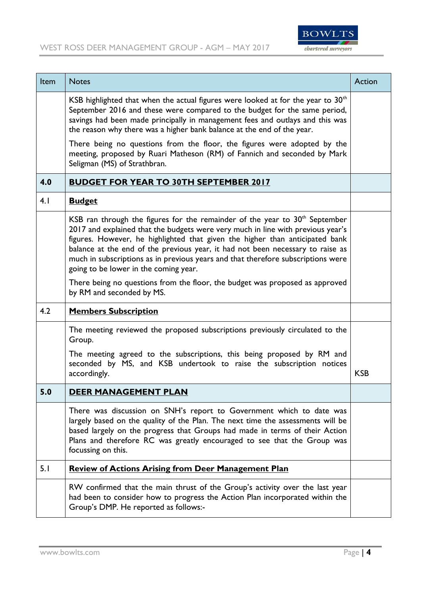

| Item | <b>Notes</b>                                                                                                                                                                                                                                                                                                                                                                                                                                                                                                                                    | Action     |
|------|-------------------------------------------------------------------------------------------------------------------------------------------------------------------------------------------------------------------------------------------------------------------------------------------------------------------------------------------------------------------------------------------------------------------------------------------------------------------------------------------------------------------------------------------------|------------|
|      | KSB highlighted that when the actual figures were looked at for the year to $30th$<br>September 2016 and these were compared to the budget for the same period,<br>savings had been made principally in management fees and outlays and this was<br>the reason why there was a higher bank balance at the end of the year.                                                                                                                                                                                                                      |            |
|      | There being no questions from the floor, the figures were adopted by the<br>meeting, proposed by Ruari Matheson (RM) of Fannich and seconded by Mark<br>Seligman (MS) of Strathbran.                                                                                                                                                                                                                                                                                                                                                            |            |
| 4.0  | <b>BUDGET FOR YEAR TO 30TH SEPTEMBER 2017</b>                                                                                                                                                                                                                                                                                                                                                                                                                                                                                                   |            |
| 4.1  | <b>Budget</b>                                                                                                                                                                                                                                                                                                                                                                                                                                                                                                                                   |            |
|      | KSB ran through the figures for the remainder of the year to $30th$ September<br>2017 and explained that the budgets were very much in line with previous year's<br>figures. However, he highlighted that given the higher than anticipated bank<br>balance at the end of the previous year, it had not been necessary to raise as<br>much in subscriptions as in previous years and that therefore subscriptions were<br>going to be lower in the coming year.<br>There being no questions from the floor, the budget was proposed as approved |            |
|      | by RM and seconded by MS.                                                                                                                                                                                                                                                                                                                                                                                                                                                                                                                       |            |
| 4.2  | <b>Members Subscription</b>                                                                                                                                                                                                                                                                                                                                                                                                                                                                                                                     |            |
|      | The meeting reviewed the proposed subscriptions previously circulated to the<br>Group.                                                                                                                                                                                                                                                                                                                                                                                                                                                          |            |
|      | The meeting agreed to the subscriptions, this being proposed by RM and<br>seconded by MS, and KSB undertook to raise the subscription notices<br>accordingly.                                                                                                                                                                                                                                                                                                                                                                                   | <b>KSB</b> |
| 5.0  | DEER MANAGEMENT PLAN                                                                                                                                                                                                                                                                                                                                                                                                                                                                                                                            |            |
|      | There was discussion on SNH's report to Government which to date was<br>largely based on the quality of the Plan. The next time the assessments will be<br>based largely on the progress that Groups had made in terms of their Action<br>Plans and therefore RC was greatly encouraged to see that the Group was<br>focussing on this.                                                                                                                                                                                                         |            |
| 5.1  | <b>Review of Actions Arising from Deer Management Plan</b>                                                                                                                                                                                                                                                                                                                                                                                                                                                                                      |            |
|      | RW confirmed that the main thrust of the Group's activity over the last year<br>had been to consider how to progress the Action Plan incorporated within the<br>Group's DMP. He reported as follows:-                                                                                                                                                                                                                                                                                                                                           |            |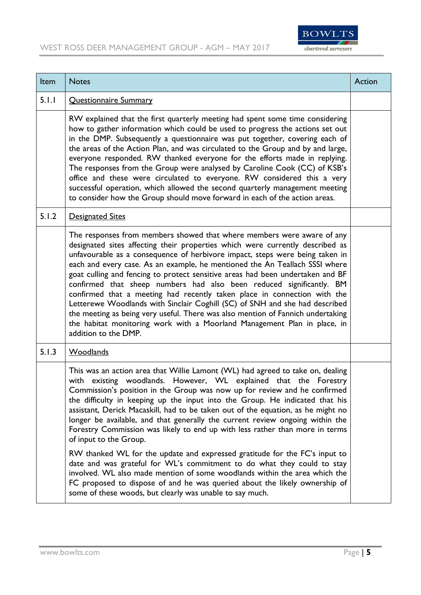

| Item  | <b>Notes</b>                                                                                                                                                                                                                                                                                                                                                                                                                                                                                                                                                                                                                                                                                                                                                                                                                          | Action |
|-------|---------------------------------------------------------------------------------------------------------------------------------------------------------------------------------------------------------------------------------------------------------------------------------------------------------------------------------------------------------------------------------------------------------------------------------------------------------------------------------------------------------------------------------------------------------------------------------------------------------------------------------------------------------------------------------------------------------------------------------------------------------------------------------------------------------------------------------------|--------|
| 5.1.1 | Questionnaire Summary                                                                                                                                                                                                                                                                                                                                                                                                                                                                                                                                                                                                                                                                                                                                                                                                                 |        |
|       | RW explained that the first quarterly meeting had spent some time considering<br>how to gather information which could be used to progress the actions set out<br>in the DMP. Subsequently a questionnaire was put together, covering each of<br>the areas of the Action Plan, and was circulated to the Group and by and large,<br>everyone responded. RW thanked everyone for the efforts made in replying.<br>The responses from the Group were analysed by Caroline Cook (CC) of KSB's<br>office and these were circulated to everyone. RW considered this a very<br>successful operation, which allowed the second quarterly management meeting<br>to consider how the Group should move forward in each of the action areas.                                                                                                    |        |
| 5.1.2 | <b>Designated Sites</b>                                                                                                                                                                                                                                                                                                                                                                                                                                                                                                                                                                                                                                                                                                                                                                                                               |        |
|       | The responses from members showed that where members were aware of any<br>designated sites affecting their properties which were currently described as<br>unfavourable as a consequence of herbivore impact, steps were being taken in<br>each and every case. As an example, he mentioned the An Teallach SSSI where<br>goat culling and fencing to protect sensitive areas had been undertaken and BF<br>confirmed that sheep numbers had also been reduced significantly. BM<br>confirmed that a meeting had recently taken place in connection with the<br>Letterewe Woodlands with Sinclair Coghill (SC) of SNH and she had described<br>the meeting as being very useful. There was also mention of Fannich undertaking<br>the habitat monitoring work with a Moorland Management Plan in place, in<br>addition to the DMP.    |        |
| 5.1.3 | Woodlands                                                                                                                                                                                                                                                                                                                                                                                                                                                                                                                                                                                                                                                                                                                                                                                                                             |        |
|       | This was an action area that Willie Lamont (WL) had agreed to take on, dealing<br>with existing woodlands. However, WL explained that the Forestry<br>Commission's position in the Group was now up for review and he confirmed<br>the difficulty in keeping up the input into the Group. He indicated that his<br>assistant, Derick Macaskill, had to be taken out of the equation, as he might no<br>longer be available, and that generally the current review ongoing within the<br>Forestry Commission was likely to end up with less rather than more in terms<br>of input to the Group.<br>RW thanked WL for the update and expressed gratitude for the FC's input to<br>date and was grateful for WL's commitment to do what they could to stay<br>involved. WL also made mention of some woodlands within the area which the |        |
|       | FC proposed to dispose of and he was queried about the likely ownership of<br>some of these woods, but clearly was unable to say much.                                                                                                                                                                                                                                                                                                                                                                                                                                                                                                                                                                                                                                                                                                |        |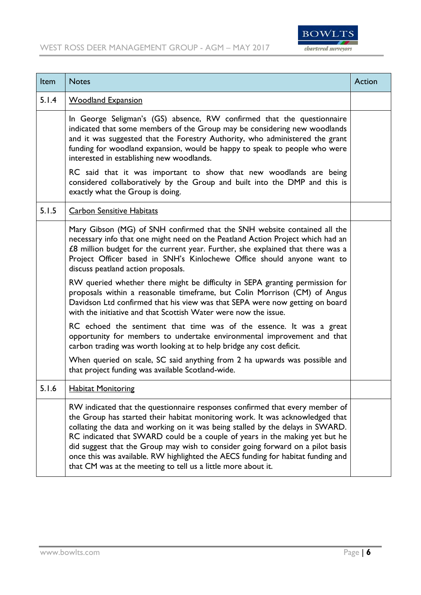

| Item  | <b>Notes</b>                                                                                                                                                                                                                                                                                                                                                                                                                                                                                                                                                          | Action |
|-------|-----------------------------------------------------------------------------------------------------------------------------------------------------------------------------------------------------------------------------------------------------------------------------------------------------------------------------------------------------------------------------------------------------------------------------------------------------------------------------------------------------------------------------------------------------------------------|--------|
| 5.1.4 | <b>Woodland Expansion</b>                                                                                                                                                                                                                                                                                                                                                                                                                                                                                                                                             |        |
|       | In George Seligman's (GS) absence, RW confirmed that the questionnaire<br>indicated that some members of the Group may be considering new woodlands<br>and it was suggested that the Forestry Authority, who administered the grant<br>funding for woodland expansion, would be happy to speak to people who were<br>interested in establishing new woodlands.                                                                                                                                                                                                        |        |
|       | RC said that it was important to show that new woodlands are being<br>considered collaboratively by the Group and built into the DMP and this is<br>exactly what the Group is doing.                                                                                                                                                                                                                                                                                                                                                                                  |        |
| 5.1.5 | <b>Carbon Sensitive Habitats</b>                                                                                                                                                                                                                                                                                                                                                                                                                                                                                                                                      |        |
|       | Mary Gibson (MG) of SNH confirmed that the SNH website contained all the<br>necessary info that one might need on the Peatland Action Project which had an<br>£8 million budget for the current year. Further, she explained that there was a<br>Project Officer based in SNH's Kinlochewe Office should anyone want to<br>discuss peatland action proposals.                                                                                                                                                                                                         |        |
|       | RW queried whether there might be difficulty in SEPA granting permission for<br>proposals within a reasonable timeframe, but Colin Morrison (CM) of Angus<br>Davidson Ltd confirmed that his view was that SEPA were now getting on board<br>with the initiative and that Scottish Water were now the issue.                                                                                                                                                                                                                                                          |        |
|       | RC echoed the sentiment that time was of the essence. It was a great<br>opportunity for members to undertake environmental improvement and that<br>carbon trading was worth looking at to help bridge any cost deficit.                                                                                                                                                                                                                                                                                                                                               |        |
|       | When queried on scale, SC said anything from 2 ha upwards was possible and<br>that project funding was available Scotland-wide.                                                                                                                                                                                                                                                                                                                                                                                                                                       |        |
| 5.1.6 | <b>Habitat Monitoring</b>                                                                                                                                                                                                                                                                                                                                                                                                                                                                                                                                             |        |
|       | RW indicated that the questionnaire responses confirmed that every member of<br>the Group has started their habitat monitoring work. It was acknowledged that<br>collating the data and working on it was being stalled by the delays in SWARD.<br>RC indicated that SWARD could be a couple of years in the making yet but he<br>did suggest that the Group may wish to consider going forward on a pilot basis<br>once this was available. RW highlighted the AECS funding for habitat funding and<br>that CM was at the meeting to tell us a little more about it. |        |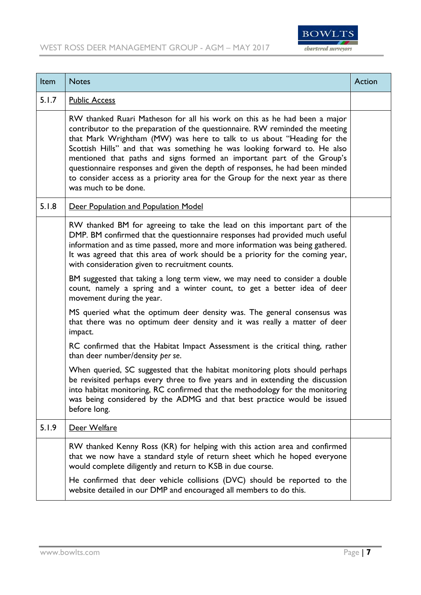

| Item  | <b>Notes</b>                                                                                                                                                                                                                                                                                                                                                                                                                                                                                                                                                                         | Action |
|-------|--------------------------------------------------------------------------------------------------------------------------------------------------------------------------------------------------------------------------------------------------------------------------------------------------------------------------------------------------------------------------------------------------------------------------------------------------------------------------------------------------------------------------------------------------------------------------------------|--------|
| 5.1.7 | <b>Public Access</b>                                                                                                                                                                                                                                                                                                                                                                                                                                                                                                                                                                 |        |
|       | RW thanked Ruari Matheson for all his work on this as he had been a major<br>contributor to the preparation of the questionnaire. RW reminded the meeting<br>that Mark Wrightham (MW) was here to talk to us about "Heading for the<br>Scottish Hills" and that was something he was looking forward to. He also<br>mentioned that paths and signs formed an important part of the Group's<br>questionnaire responses and given the depth of responses, he had been minded<br>to consider access as a priority area for the Group for the next year as there<br>was much to be done. |        |
| 5.1.8 | Deer Population and Population Model                                                                                                                                                                                                                                                                                                                                                                                                                                                                                                                                                 |        |
|       | RW thanked BM for agreeing to take the lead on this important part of the<br>DMP. BM confirmed that the questionnaire responses had provided much useful<br>information and as time passed, more and more information was being gathered.<br>It was agreed that this area of work should be a priority for the coming year,<br>with consideration given to recruitment counts.                                                                                                                                                                                                       |        |
|       | BM suggested that taking a long term view, we may need to consider a double<br>count, namely a spring and a winter count, to get a better idea of deer<br>movement during the year.                                                                                                                                                                                                                                                                                                                                                                                                  |        |
|       | MS queried what the optimum deer density was. The general consensus was<br>that there was no optimum deer density and it was really a matter of deer<br>impact.                                                                                                                                                                                                                                                                                                                                                                                                                      |        |
|       | RC confirmed that the Habitat Impact Assessment is the critical thing, rather<br>than deer number/density per se.                                                                                                                                                                                                                                                                                                                                                                                                                                                                    |        |
|       | When queried, SC suggested that the habitat monitoring plots should perhaps<br>be revisited perhaps every three to five years and in extending the discussion<br>into habitat monitoring, RC confirmed that the methodology for the monitoring<br>was being considered by the ADMG and that best practice would be issued<br>before long.                                                                                                                                                                                                                                            |        |
| 5.1.9 | Deer Welfare                                                                                                                                                                                                                                                                                                                                                                                                                                                                                                                                                                         |        |
|       | RW thanked Kenny Ross (KR) for helping with this action area and confirmed<br>that we now have a standard style of return sheet which he hoped everyone<br>would complete diligently and return to KSB in due course.<br>He confirmed that deer vehicle collisions (DVC) should be reported to the<br>website detailed in our DMP and encouraged all members to do this.                                                                                                                                                                                                             |        |
|       |                                                                                                                                                                                                                                                                                                                                                                                                                                                                                                                                                                                      |        |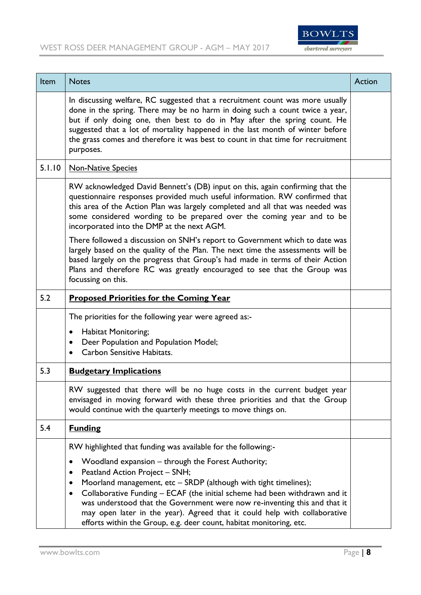

| Item   | <b>Notes</b>                                                                                                                                                                                                                                                                                                                                                                                                                                                                                                   | Action |
|--------|----------------------------------------------------------------------------------------------------------------------------------------------------------------------------------------------------------------------------------------------------------------------------------------------------------------------------------------------------------------------------------------------------------------------------------------------------------------------------------------------------------------|--------|
|        | In discussing welfare, RC suggested that a recruitment count was more usually<br>done in the spring. There may be no harm in doing such a count twice a year,<br>but if only doing one, then best to do in May after the spring count. He<br>suggested that a lot of mortality happened in the last month of winter before<br>the grass comes and therefore it was best to count in that time for recruitment<br>purposes.                                                                                     |        |
| 5.1.10 | <b>Non-Native Species</b>                                                                                                                                                                                                                                                                                                                                                                                                                                                                                      |        |
|        | RW acknowledged David Bennett's (DB) input on this, again confirming that the<br>questionnaire responses provided much useful information. RW confirmed that<br>this area of the Action Plan was largely completed and all that was needed was<br>some considered wording to be prepared over the coming year and to be<br>incorporated into the DMP at the next AGM.                                                                                                                                          |        |
|        | There followed a discussion on SNH's report to Government which to date was<br>largely based on the quality of the Plan. The next time the assessments will be<br>based largely on the progress that Group's had made in terms of their Action<br>Plans and therefore RC was greatly encouraged to see that the Group was<br>focussing on this.                                                                                                                                                                |        |
| 5.2    | <b>Proposed Priorities for the Coming Year</b>                                                                                                                                                                                                                                                                                                                                                                                                                                                                 |        |
|        | The priorities for the following year were agreed as:-<br><b>Habitat Monitoring;</b><br>Deer Population and Population Model;<br>$\bullet$<br>Carbon Sensitive Habitats.                                                                                                                                                                                                                                                                                                                                       |        |
| 5.3    | <b>Budgetary Implications</b>                                                                                                                                                                                                                                                                                                                                                                                                                                                                                  |        |
|        | RW suggested that there will be no huge costs in the current budget year<br>envisaged in moving forward with these three priorities and that the Group<br>would continue with the quarterly meetings to move things on.                                                                                                                                                                                                                                                                                        |        |
| 5.4    | <b>Funding</b>                                                                                                                                                                                                                                                                                                                                                                                                                                                                                                 |        |
|        | RW highlighted that funding was available for the following:-                                                                                                                                                                                                                                                                                                                                                                                                                                                  |        |
|        | Woodland expansion – through the Forest Authority;<br>$\bullet$<br>Peatland Action Project - SNH;<br>Moorland management, etc - SRDP (although with tight timelines);<br>$\bullet$<br>Collaborative Funding - ECAF (the initial scheme had been withdrawn and it<br>$\bullet$<br>was understood that the Government were now re-inventing this and that it<br>may open later in the year). Agreed that it could help with collaborative<br>efforts within the Group, e.g. deer count, habitat monitoring, etc. |        |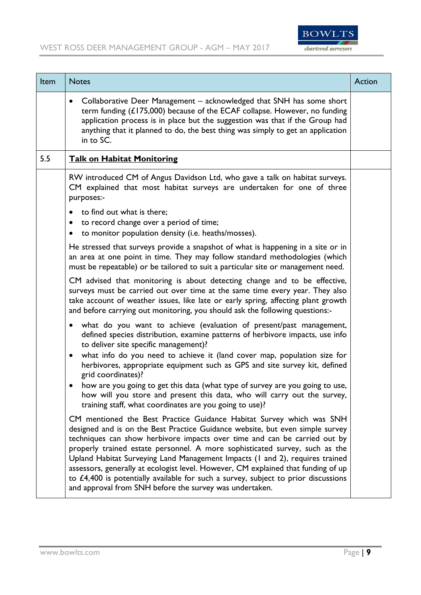

| Item | <b>Notes</b>                                                                                                                                                                                                                                                                                                                                                                                                                                                                                                                                                                                                                              | Action |
|------|-------------------------------------------------------------------------------------------------------------------------------------------------------------------------------------------------------------------------------------------------------------------------------------------------------------------------------------------------------------------------------------------------------------------------------------------------------------------------------------------------------------------------------------------------------------------------------------------------------------------------------------------|--------|
|      | Collaborative Deer Management - acknowledged that SNH has some short<br>$\bullet$<br>term funding (£175,000) because of the ECAF collapse. However, no funding<br>application process is in place but the suggestion was that if the Group had<br>anything that it planned to do, the best thing was simply to get an application<br>in to SC.                                                                                                                                                                                                                                                                                            |        |
| 5.5  | <b>Talk on Habitat Monitoring</b>                                                                                                                                                                                                                                                                                                                                                                                                                                                                                                                                                                                                         |        |
|      | RW introduced CM of Angus Davidson Ltd, who gave a talk on habitat surveys.<br>CM explained that most habitat surveys are undertaken for one of three<br>purposes:-                                                                                                                                                                                                                                                                                                                                                                                                                                                                       |        |
|      | to find out what is there;<br>$\bullet$<br>to record change over a period of time;<br>$\bullet$<br>to monitor population density (i.e. heaths/mosses).<br>$\bullet$                                                                                                                                                                                                                                                                                                                                                                                                                                                                       |        |
|      | He stressed that surveys provide a snapshot of what is happening in a site or in<br>an area at one point in time. They may follow standard methodologies (which<br>must be repeatable) or be tailored to suit a particular site or management need.                                                                                                                                                                                                                                                                                                                                                                                       |        |
|      | CM advised that monitoring is about detecting change and to be effective,<br>surveys must be carried out over time at the same time every year. They also<br>take account of weather issues, like late or early spring, affecting plant growth<br>and before carrying out monitoring, you should ask the following questions:-                                                                                                                                                                                                                                                                                                            |        |
|      | what do you want to achieve (evaluation of present/past management,<br>defined species distribution, examine patterns of herbivore impacts, use info<br>to deliver site specific management)?<br>what info do you need to achieve it (land cover map, population size for<br>$\bullet$<br>herbivores, appropriate equipment such as GPS and site survey kit, defined                                                                                                                                                                                                                                                                      |        |
|      | grid coordinates)?<br>how are you going to get this data (what type of survey are you going to use,<br>how will you store and present this data, who will carry out the survey,<br>training staff, what coordinates are you going to use)?                                                                                                                                                                                                                                                                                                                                                                                                |        |
|      | CM mentioned the Best Practice Guidance Habitat Survey which was SNH<br>designed and is on the Best Practice Guidance website, but even simple survey<br>techniques can show herbivore impacts over time and can be carried out by<br>properly trained estate personnel. A more sophisticated survey, such as the<br>Upland Habitat Surveying Land Management Impacts (1 and 2), requires trained<br>assessors, generally at ecologist level. However, CM explained that funding of up<br>to $£4,400$ is potentially available for such a survey, subject to prior discussions<br>and approval from SNH before the survey was undertaken. |        |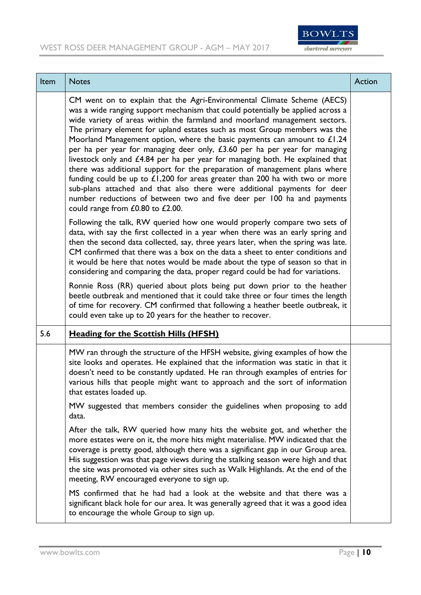

| Item | <b>Notes</b>                                                                                                                                                                                                                                                                                                                                                                                                                                                                                                                                                                                                                                                                                                                                                                                                                                                                                                                 | Action |
|------|------------------------------------------------------------------------------------------------------------------------------------------------------------------------------------------------------------------------------------------------------------------------------------------------------------------------------------------------------------------------------------------------------------------------------------------------------------------------------------------------------------------------------------------------------------------------------------------------------------------------------------------------------------------------------------------------------------------------------------------------------------------------------------------------------------------------------------------------------------------------------------------------------------------------------|--------|
|      | CM went on to explain that the Agri-Environmental Climate Scheme (AECS)<br>was a wide ranging support mechanism that could potentially be applied across a<br>wide variety of areas within the farmland and moorland management sectors.<br>The primary element for upland estates such as most Group members was the<br>Moorland Management option, where the basic payments can amount to $£1.24$<br>per ha per year for managing deer only, £3.60 per ha per year for managing<br>livestock only and £4.84 per ha per year for managing both. He explained that<br>there was additional support for the preparation of management plans where<br>funding could be up to $£1,200$ for areas greater than 200 ha with two or more<br>sub-plans attached and that also there were additional payments for deer<br>number reductions of between two and five deer per 100 ha and payments<br>could range from £0.80 to £2.00. |        |
|      | Following the talk, RW queried how one would properly compare two sets of<br>data, with say the first collected in a year when there was an early spring and<br>then the second data collected, say, three years later, when the spring was late.<br>CM confirmed that there was a box on the data a sheet to enter conditions and<br>it would be here that notes would be made about the type of season so that in<br>considering and comparing the data, proper regard could be had for variations.                                                                                                                                                                                                                                                                                                                                                                                                                        |        |
|      | Ronnie Ross (RR) queried about plots being put down prior to the heather<br>beetle outbreak and mentioned that it could take three or four times the length<br>of time for recovery. CM confirmed that following a heather beetle outbreak, it<br>could even take up to 20 years for the heather to recover.                                                                                                                                                                                                                                                                                                                                                                                                                                                                                                                                                                                                                 |        |
| 5.6  | <b>Heading for the Scottish Hills (HFSH)</b>                                                                                                                                                                                                                                                                                                                                                                                                                                                                                                                                                                                                                                                                                                                                                                                                                                                                                 |        |
|      | MW ran through the structure of the HFSH website, giving examples of how the<br>site looks and operates. He explained that the information was static in that it<br>doesn't need to be constantly updated. He ran through examples of entries for<br>various hills that people might want to approach and the sort of information<br>that estates loaded up.                                                                                                                                                                                                                                                                                                                                                                                                                                                                                                                                                                 |        |
|      | MW suggested that members consider the guidelines when proposing to add<br>data.                                                                                                                                                                                                                                                                                                                                                                                                                                                                                                                                                                                                                                                                                                                                                                                                                                             |        |
|      | After the talk, RW queried how many hits the website got, and whether the<br>more estates were on it, the more hits might materialise. MW indicated that the<br>coverage is pretty good, although there was a significant gap in our Group area.<br>His suggestion was that page views during the stalking season were high and that<br>the site was promoted via other sites such as Walk Highlands. At the end of the<br>meeting, RW encouraged everyone to sign up.                                                                                                                                                                                                                                                                                                                                                                                                                                                       |        |
|      | MS confirmed that he had had a look at the website and that there was a<br>significant black hole for our area. It was generally agreed that it was a good idea<br>to encourage the whole Group to sign up.                                                                                                                                                                                                                                                                                                                                                                                                                                                                                                                                                                                                                                                                                                                  |        |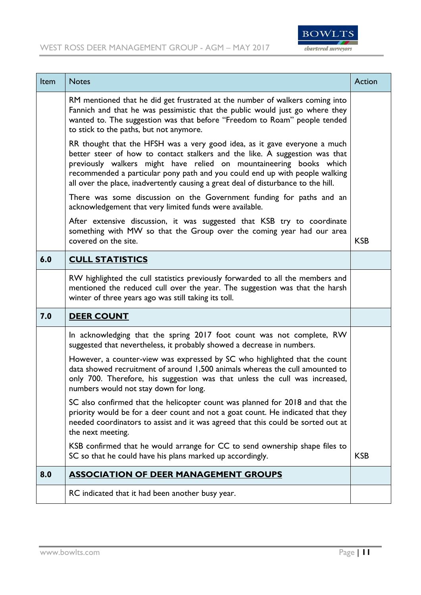

| Item | <b>Notes</b>                                                                                                                                                                                                                                                                                                                                                                                        | <b>Action</b> |
|------|-----------------------------------------------------------------------------------------------------------------------------------------------------------------------------------------------------------------------------------------------------------------------------------------------------------------------------------------------------------------------------------------------------|---------------|
|      | RM mentioned that he did get frustrated at the number of walkers coming into<br>Fannich and that he was pessimistic that the public would just go where they<br>wanted to. The suggestion was that before "Freedom to Roam" people tended<br>to stick to the paths, but not anymore.                                                                                                                |               |
|      | RR thought that the HFSH was a very good idea, as it gave everyone a much<br>better steer of how to contact stalkers and the like. A suggestion was that<br>previously walkers might have relied on mountaineering books which<br>recommended a particular pony path and you could end up with people walking<br>all over the place, inadvertently causing a great deal of disturbance to the hill. |               |
|      | There was some discussion on the Government funding for paths and an<br>acknowledgement that very limited funds were available.                                                                                                                                                                                                                                                                     |               |
|      | After extensive discussion, it was suggested that KSB try to coordinate<br>something with MW so that the Group over the coming year had our area<br>covered on the site.                                                                                                                                                                                                                            | <b>KSB</b>    |
| 6.0  | <b>CULL STATISTICS</b>                                                                                                                                                                                                                                                                                                                                                                              |               |
|      | RW highlighted the cull statistics previously forwarded to all the members and<br>mentioned the reduced cull over the year. The suggestion was that the harsh<br>winter of three years ago was still taking its toll.                                                                                                                                                                               |               |
| 7.0  | <b>DEER COUNT</b>                                                                                                                                                                                                                                                                                                                                                                                   |               |
|      | In acknowledging that the spring 2017 foot count was not complete, RW<br>suggested that nevertheless, it probably showed a decrease in numbers.                                                                                                                                                                                                                                                     |               |
|      | However, a counter-view was expressed by SC who highlighted that the count<br>data showed recruitment of around 1,500 animals whereas the cull amounted to<br>only 700. Therefore, his suggestion was that unless the cull was increased,<br>numbers would not stay down for long.                                                                                                                  |               |
|      | SC also confirmed that the helicopter count was planned for 2018 and that the<br>priority would be for a deer count and not a goat count. He indicated that they<br>needed coordinators to assist and it was agreed that this could be sorted out at<br>the next meeting.                                                                                                                           |               |
|      | KSB confirmed that he would arrange for CC to send ownership shape files to<br>SC so that he could have his plans marked up accordingly.                                                                                                                                                                                                                                                            | <b>KSB</b>    |
| 8.0  | <b>ASSOCIATION OF DEER MANAGEMENT GROUPS</b>                                                                                                                                                                                                                                                                                                                                                        |               |
|      | RC indicated that it had been another busy year.                                                                                                                                                                                                                                                                                                                                                    |               |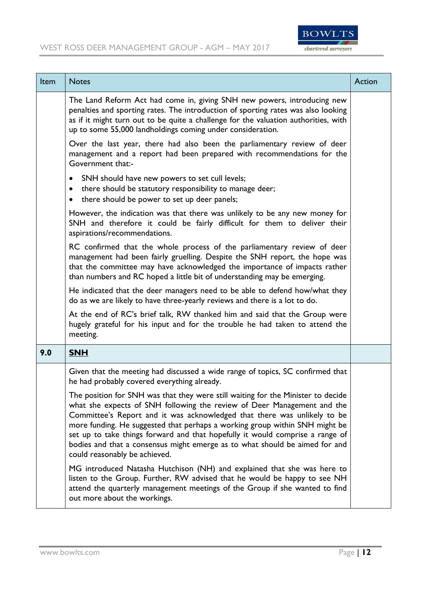

| Item | <b>Notes</b>                                                                                                                                                                                                                                                                                                                                                                                                                                                                                                            | <b>Action</b> |
|------|-------------------------------------------------------------------------------------------------------------------------------------------------------------------------------------------------------------------------------------------------------------------------------------------------------------------------------------------------------------------------------------------------------------------------------------------------------------------------------------------------------------------------|---------------|
|      | The Land Reform Act had come in, giving SNH new powers, introducing new<br>penalties and sporting rates. The introduction of sporting rates was also looking<br>as if it might turn out to be quite a challenge for the valuation authorities, with<br>up to some 55,000 landholdings coming under consideration.                                                                                                                                                                                                       |               |
|      | Over the last year, there had also been the parliamentary review of deer<br>management and a report had been prepared with recommendations for the<br>Government that:-                                                                                                                                                                                                                                                                                                                                                 |               |
|      | SNH should have new powers to set cull levels;<br>$\bullet$<br>there should be statutory responsibility to manage deer;<br>$\bullet$<br>there should be power to set up deer panels;<br>$\bullet$                                                                                                                                                                                                                                                                                                                       |               |
|      | However, the indication was that there was unlikely to be any new money for<br>SNH and therefore it could be fairly difficult for them to deliver their<br>aspirations/recommendations.                                                                                                                                                                                                                                                                                                                                 |               |
|      | RC confirmed that the whole process of the parliamentary review of deer<br>management had been fairly gruelling. Despite the SNH report, the hope was<br>that the committee may have acknowledged the importance of impacts rather<br>than numbers and RC hoped a little bit of understanding may be emerging.                                                                                                                                                                                                          |               |
|      | He indicated that the deer managers need to be able to defend how/what they<br>do as we are likely to have three-yearly reviews and there is a lot to do.                                                                                                                                                                                                                                                                                                                                                               |               |
|      | At the end of RC's brief talk, RW thanked him and said that the Group were<br>hugely grateful for his input and for the trouble he had taken to attend the<br>meeting.                                                                                                                                                                                                                                                                                                                                                  |               |
| 9.0  | <b>SNH</b>                                                                                                                                                                                                                                                                                                                                                                                                                                                                                                              |               |
|      | Given that the meeting had discussed a wide range of topics, SC confirmed that<br>he had probably covered everything already.                                                                                                                                                                                                                                                                                                                                                                                           |               |
|      | The position for SNH was that they were still waiting for the Minister to decide<br>what she expects of SNH following the review of Deer Management and the<br>Committee's Report and it was acknowledged that there was unlikely to be<br>more funding. He suggested that perhaps a working group within SNH might be<br>set up to take things forward and that hopefully it would comprise a range of<br>bodies and that a consensus might emerge as to what should be aimed for and<br>could reasonably be achieved. |               |
|      | MG introduced Natasha Hutchison (NH) and explained that she was here to<br>listen to the Group. Further, RW advised that he would be happy to see NH<br>attend the quarterly management meetings of the Group if she wanted to find<br>out more about the workings.                                                                                                                                                                                                                                                     |               |